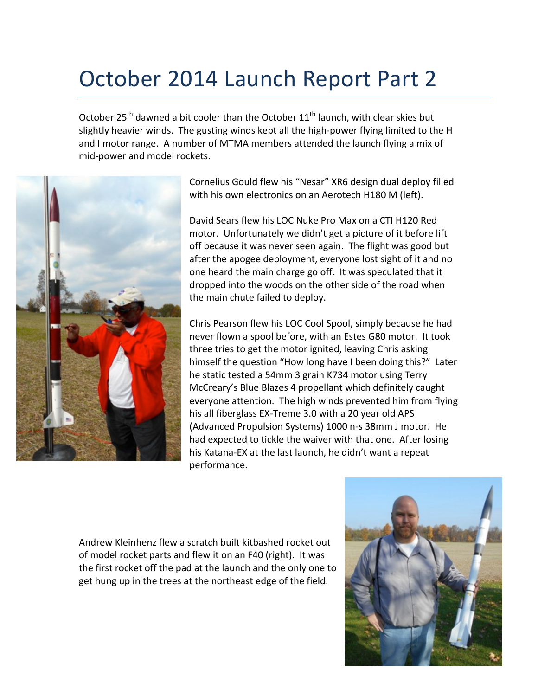## October 2014 Launch Report Part 2

October  $25<sup>th</sup>$  dawned a bit cooler than the October  $11<sup>th</sup>$  launch, with clear skies but slightly heavier winds. The gusting winds kept all the high-power flying limited to the H and I motor range. A number of MTMA members attended the launch flying a mix of mid-power and model rockets.



Cornelius Gould flew his "Nesar" XR6 design dual deploy filled with his own electronics on an Aerotech H180 M (left).

David Sears flew his LOC Nuke Pro Max on a CTI H120 Red motor. Unfortunately we didn't get a picture of it before lift off because it was never seen again. The flight was good but after the apogee deployment, everyone lost sight of it and no one heard the main charge go off. It was speculated that it dropped into the woods on the other side of the road when the main chute failed to deploy.

Chris Pearson flew his LOC Cool Spool, simply because he had never flown a spool before, with an Estes G80 motor. It took three tries to get the motor ignited, leaving Chris asking himself the question "How long have I been doing this?" Later he static tested a 54mm 3 grain K734 motor using Terry McCreary's Blue Blazes 4 propellant which definitely caught everyone attention. The high winds prevented him from flying his all fiberglass EX-Treme 3.0 with a 20 year old APS (Advanced Propulsion Systems) 1000 n-s 38mm J motor. He had expected to tickle the waiver with that one. After losing his Katana-EX at the last launch, he didn't want a repeat performance. 

Andrew Kleinhenz flew a scratch built kitbashed rocket out of model rocket parts and flew it on an F40 (right). It was the first rocket off the pad at the launch and the only one to get hung up in the trees at the northeast edge of the field.

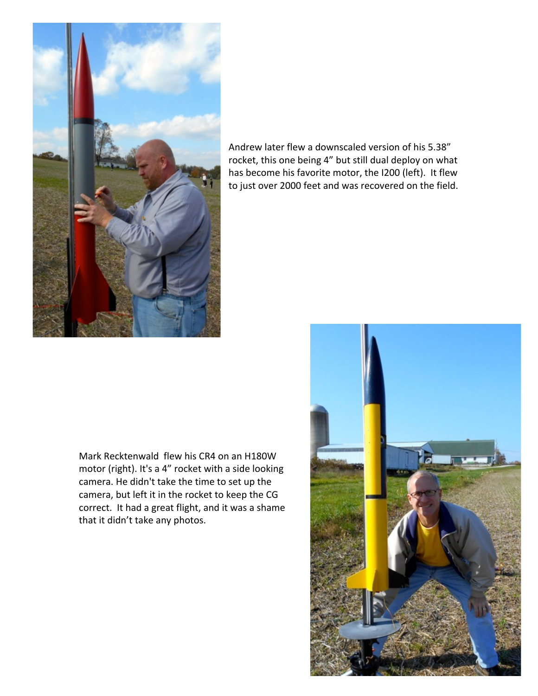

Andrew later flew a downscaled version of his 5.38" rocket, this one being 4" but still dual deploy on what has become his favorite motor, the I200 (left). It flew to just over 2000 feet and was recovered on the field.

Mark Recktenwald flew his CR4 on an H180W motor (right). It's a 4" rocket with a side looking camera. He didn't take the time to set up the camera, but left it in the rocket to keep the CG correct. It had a great flight, and it was a shame that it didn't take any photos.

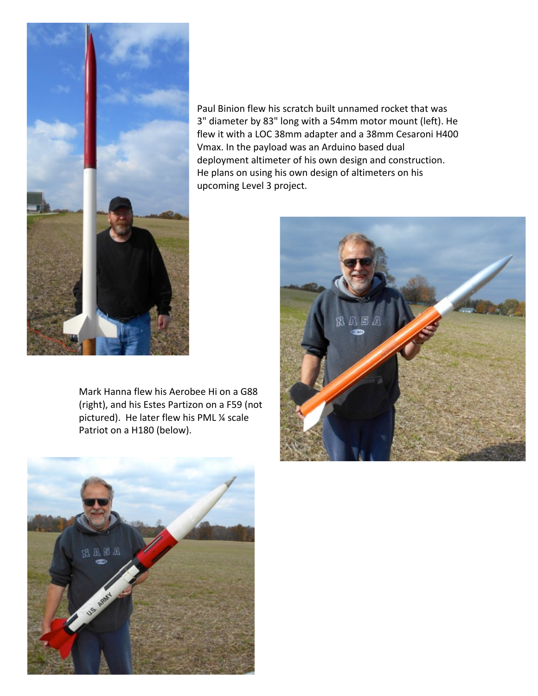

Paul Binion flew his scratch built unnamed rocket that was 3" diameter by 83" long with a 54mm motor mount (left). He flew it with a LOC 38mm adapter and a 38mm Cesaroni H400 Vmax. In the payload was an Arduino based dual deployment altimeter of his own design and construction. He plans on using his own design of altimeters on his upcoming Level 3 project.

Mark Hanna flew his Aerobee Hi on a G88 (right), and his Estes Partizon on a F59 (not pictured). He later flew his PML 1/4 scale Patriot on a H180 (below).